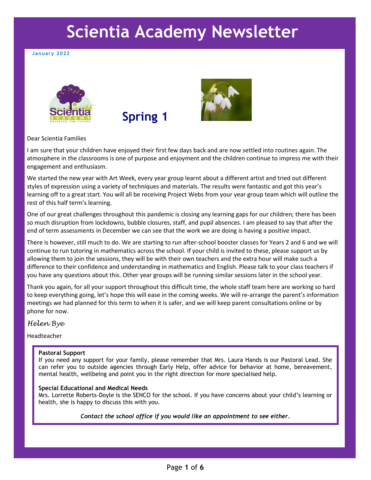# **Scientia Academy Newsletter**

#### **January 2022**







#### Dear Scientia Families

I am sure that your children have enjoyed their first few days back and are now settled into routines again. The atmosphere in the classrooms is one of purpose and enjoyment and the children continue to impress me with their engagement and enthusiasm.

We started the new year with Art Week, every year group learnt about a different artist and tried out different styles of expression using a variety of techniques and materials. The results were fantastic and got this year's learning off to a great start. You will all be receiving Project Webs from your year group team which will outline the rest of this half term's learning.

One of our great challenges throughout this pandemic is closing any learning gaps for our children; there has been so much disruption from lockdowns, bubble closures, staff, and pupil absences. I am pleased to say that after the end of term assessments in December we can see that the work we are doing is having a positive impact.

There is however, still much to do. We are starting to run after-school booster classes for Years 2 and 6 and we will continue to run tutoring in mathematics across the school. If your child is invited to these, please support us by allowing them to join the sessions, they will be with their own teachers and the extra hour will make such a difference to their confidence and understanding in mathematics and English. Please talk to your class teachers if you have any questions about this. Other year groups will be running similar sessions later in the school year.

Thank you again, for all your support throughout this difficult time, the whole staff team here are working so hard to keep everything going, let's hope this will ease in the coming weeks. We will re-arrange the parent's information meetings we had planned for this term to when it is safer, and we will keep parent consultations online or by phone for now.

*Helen Bye*

Headteacher

#### **Pastoral Support**

If you need any support for your family, please remember that Mrs. Laura Hands is our Pastoral Lead. She can refer you to outside agencies through Early Help, offer advice for behavior at home, bereavement, mental health, wellbeing and point you in the right direction for more specialised help.

#### **Special Educational and Medical Needs**

Mrs. Lorrette Roberts-Doyle is the SENCO for the school. If you have concerns about your child's learning or health, she is happy to discuss this with you.

*Contact the school office if you would like an appointment to see either.*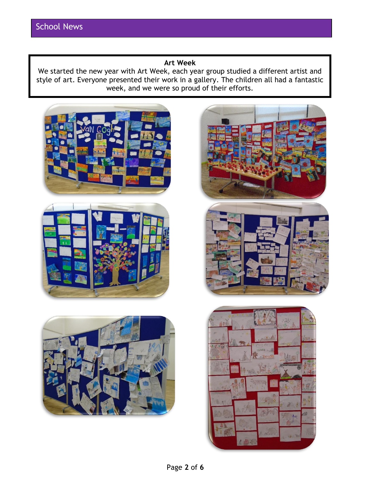# **Art Week**

We started the new year with Art Week, each year group studied a different artist and style of art. Everyone presented their work in a gallery. The children all had a fantastic week, and we were so proud of their efforts.





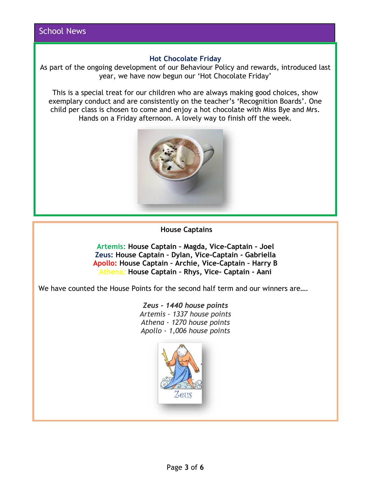# **Hot Chocolate Friday**

As part of the ongoing development of our Behaviour Policy and rewards, introduced last year, we have now begun our 'Hot Chocolate Friday'

This is a special treat for our children who are always making good choices, show exemplary conduct and are consistently on the teacher's 'Recognition Boards'. One child per class is chosen to come and enjoy a hot chocolate with Miss Bye and Mrs. Hands on a Friday afternoon. A lovely way to finish off the week.



# **House Captains**

**Artemis: House Captain – Magda, Vice-Captain - Joel Zeus: House Captain – Dylan, Vice-Captain - Gabriella Apollo: House Captain – Archie, Vice-Captain – Harry B Athena: House Captain – Rhys, Vice- Captain - Aani**

We have counted the House Points for the second half term and our winners are....

*Zeus - 1440 house points Artemis - 1337 house points Athena - 1270 house points Apollo - 1,006 house points*

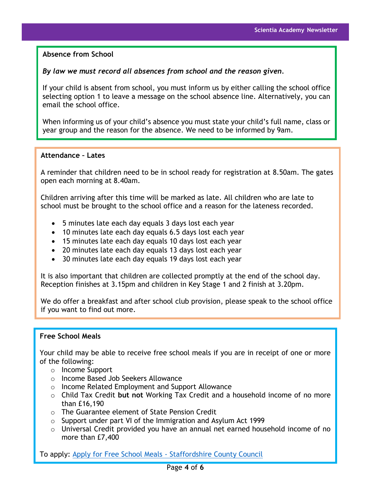**Absence from School**

# *By law we must record all absences from school and the reason given.*

If your child is absent from school, you must inform us by either calling the school office selecting option 1 to leave a message on the school absence line. Alternatively, you can email the school office.

When informing us of your child's absence you must state your child's full name, class or year group and the reason for the absence. We need to be informed by 9am.

## **Attendance – Lates**

A reminder that children need to be in school ready for registration at 8.50am. The gates open each morning at 8.40am.

Children arriving after this time will be marked as late. All children who are late to school must be brought to the school office and a reason for the lateness recorded.

- 5 minutes late each day equals 3 days lost each year
- 10 minutes late each day equals 6.5 days lost each year
- 15 minutes late each day equals 10 days lost each year
- 20 minutes late each day equals 13 days lost each year
- 30 minutes late each day equals 19 days lost each year

It is also important that children are collected promptly at the end of the school day. Reception finishes at 3.15pm and children in Key Stage 1 and 2 finish at 3.20pm.

We do offer a breakfast and after school club provision, please speak to the school office if you want to find out more.

## **Free School Meals**

Your child may be able to receive free school meals if you are in receipt of one or more of the following:

- o Income Support
- o Income Based Job Seekers Allowance
- o Income Related Employment and Support Allowance
- o Child Tax Credit **but not** Working Tax Credit and a household income of no more than £16,190
- o The Guarantee element of State Pension Credit
- o Support under part VI of the Immigration and Asylum Act 1999
- o Universal Credit provided you have an annual net earned household income of no more than £7,400

To apply: [Apply for Free School Meals -](https://apps2.staffordshire.gov.uk/web/fsmweb/) Staffordshire County Council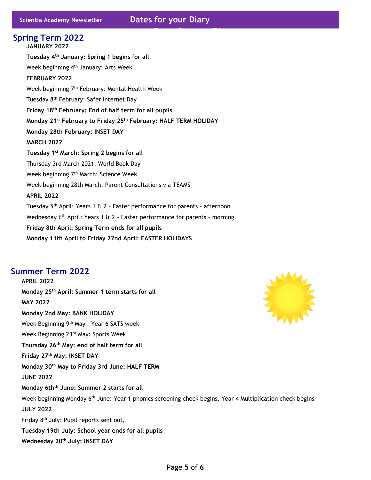**Dates for your Diary** 

**JANUARY 2022 Tuesday 4 th January: Spring 1 begins for all** Week beginning 4<sup>th</sup> January: Arts Week **FEBRUARY 2022** Week beginning 7<sup>th</sup> February: Mental Health Week Tuesday 8<sup>th</sup> February: Safer Internet Day **Friday 18 th February: End of half term for all pupils Monday 21st February to Friday 25th February: HALF TERM HOLIDAY Monday 28th February: INSET DAY MARCH 2022 Tuesday 1st March: Spring 2 begins for all** Thursday 3rd March 2021: World Book Day Week beginning 7<sup>th</sup> March: Science Week Week beginning 28th March: Parent Consultations via TEAMS **APRIL 2022** Tuesday 5<sup>th</sup> April: Years 1 & 2 - Easter performance for parents - afternoon Wednesday 6<sup>th</sup> April: Years 1 & 2 - Easter performance for parents - morning **Friday 8th April: Spring Term ends for all pupils Monday 11th April to Friday 22nd April: EASTER HOLIDAYS Spring Term 2022**

# **Summer Term 2022**

**APRIL 2022 Monday 25th April: Summer 1 term starts for all MAY 2022 Monday 2nd May: BANK HOLIDAY** Week Beginning 9<sup>th</sup> May - Year 6 SATS week Week Beginning 23rd May: Sports Week **Thursday 26th May: end of half term for all Friday 27 th May: INSET DAY Monday 30 th May to Friday 3rd June: HALF TERM JUNE 2022 Monday 6thth June: Summer 2 starts for all** Week beginning Monday 6<sup>th</sup> June: Year 1 phonics screening check begins, Year 4 Multiplication check begins **JULY 2022** Friday 8<sup>th</sup> July: Pupil reports sent out, **Tuesday 19th July: School year ends for all pupils Wednesday 20th July: INSET DAY**